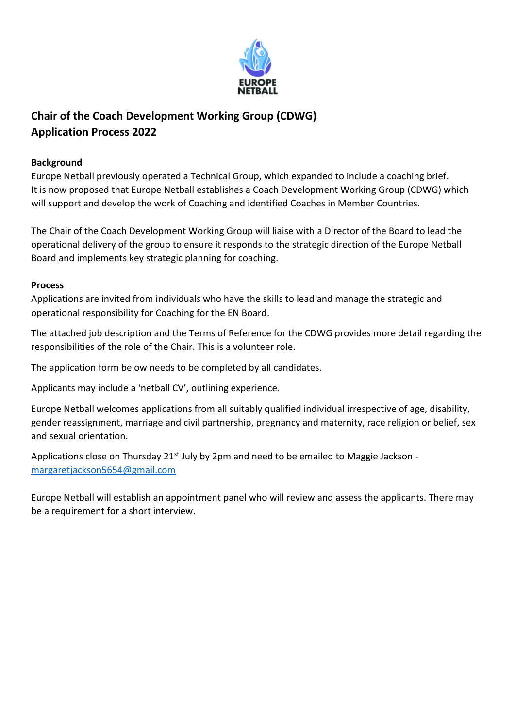

## **Chair of the Coach Development Working Group (CDWG) Application Process 2022**

## **Background**

Europe Netball previously operated a Technical Group, which expanded to include a coaching brief. It is now proposed that Europe Netball establishes a Coach Development Working Group (CDWG) which will support and develop the work of Coaching and identified Coaches in Member Countries.

The Chair of the Coach Development Working Group will liaise with a Director of the Board to lead the operational delivery of the group to ensure it responds to the strategic direction of the Europe Netball Board and implements key strategic planning for coaching.

## **Process**

Applications are invited from individuals who have the skills to lead and manage the strategic and operational responsibility for Coaching for the EN Board.

The attached job description and the Terms of Reference for the CDWG provides more detail regarding the responsibilities of the role of the Chair. This is a volunteer role.

The application form below needs to be completed by all candidates.

Applicants may include a 'netball CV', outlining experience.

Europe Netball welcomes applications from all suitably qualified individual irrespective of age, disability, gender reassignment, marriage and civil partnership, pregnancy and maternity, race religion or belief, sex and sexual orientation.

Applications close on Thursday 21<sup>st</sup> July by 2pm and need to be emailed to Maggie Jackson [margaretjackson5654@gmail.com](mailto:margaretjackson5654@gmail.com)

Europe Netball will establish an appointment panel who will review and assess the applicants. There may be a requirement for a short interview.